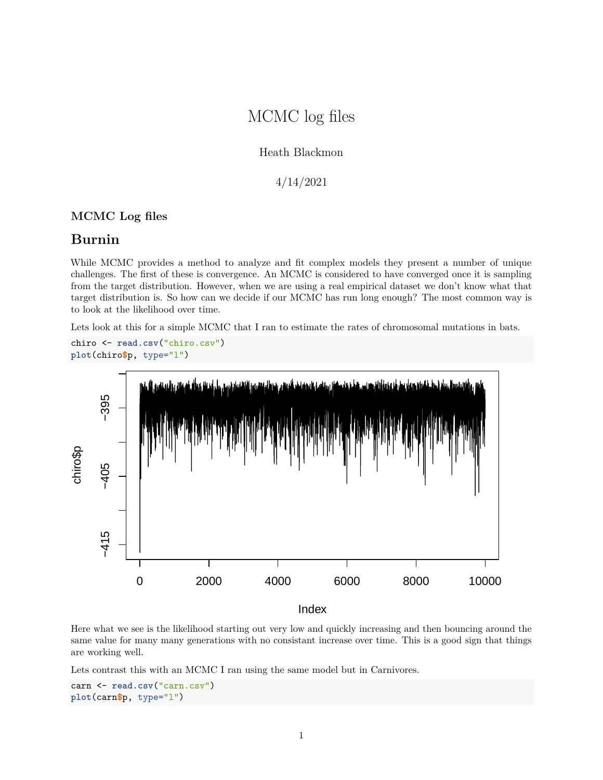# MCMC log files

Heath Blackmon

4/14/2021

### **MCMC Log files**

# **Burnin**

While MCMC provides a method to analyze and fit complex models they present a number of unique challenges. The first of these is convergence. An MCMC is considered to have converged once it is sampling from the target distribution. However, when we are using a real empirical dataset we don't know what that target distribution is. So how can we decide if our MCMC has run long enough? The most common way is to look at the likelihood over time.

Lets look at this for a simple MCMC that I ran to estimate the rates of chromosomal mutations in bats.

```
chiro <- read.csv("chiro.csv")
plot(chiro$p, type="l")
```


Index

Here what we see is the likelihood starting out very low and quickly increasing and then bouncing around the same value for many many generations with no consistant increase over time. This is a good sign that things are working well.

Lets contrast this with an MCMC I ran using the same model but in Carnivores.

carn <- **read.csv**("carn.csv") **plot**(carn**\$**p, type="l")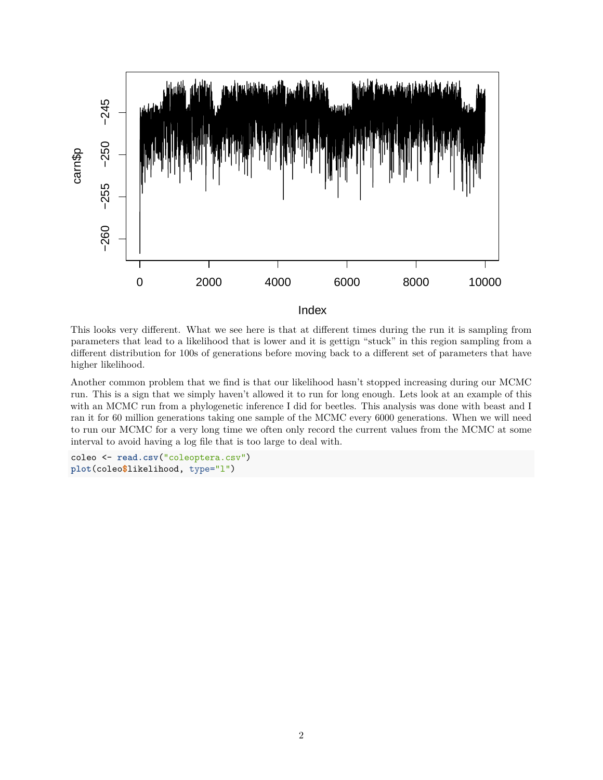

#### Index

This looks very different. What we see here is that at different times during the run it is sampling from parameters that lead to a likelihood that is lower and it is gettign "stuck" in this region sampling from a different distribution for 100s of generations before moving back to a different set of parameters that have higher likelihood.

Another common problem that we find is that our likelihood hasn't stopped increasing during our MCMC run. This is a sign that we simply haven't allowed it to run for long enough. Lets look at an example of this with an MCMC run from a phylogenetic inference I did for beetles. This analysis was done with beast and I ran it for 60 million generations taking one sample of the MCMC every 6000 generations. When we will need to run our MCMC for a very long time we often only record the current values from the MCMC at some interval to avoid having a log file that is too large to deal with.

coleo <- **read.csv**("coleoptera.csv") **plot**(coleo**\$**likelihood, type="l")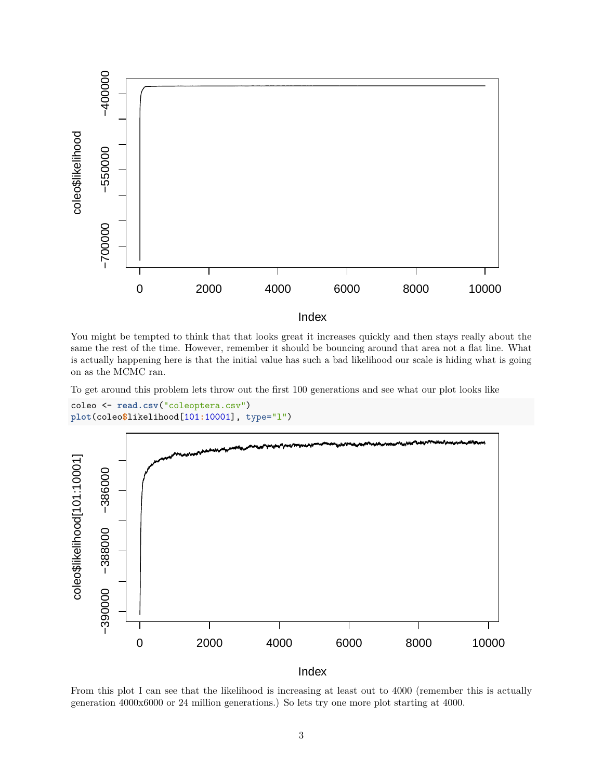

You might be tempted to think that that looks great it increases quickly and then stays really about the same the rest of the time. However, remember it should be bouncing around that area not a flat line. What is actually happening here is that the initial value has such a bad likelihood our scale is hiding what is going on as the MCMC ran.

To get around this problem lets throw out the first 100 generations and see what our plot looks like

```
coleo <- read.csv("coleoptera.csv")
plot(coleo$likelihood[101:10001], type="l")
```


Index

From this plot I can see that the likelihood is increasing at least out to 4000 (remember this is actually generation 4000x6000 or 24 million generations.) So lets try one more plot starting at 4000.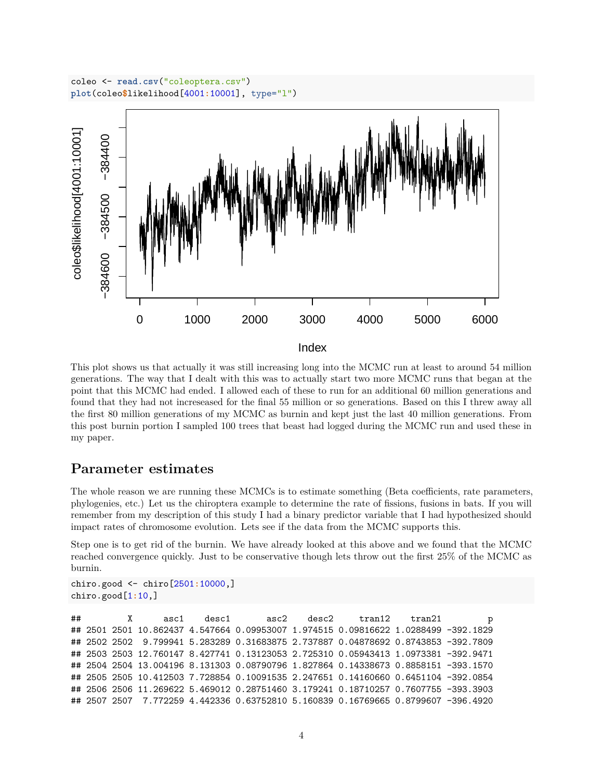



This plot shows us that actually it was still increasing long into the MCMC run at least to around 54 million generations. The way that I dealt with this was to actually start two more MCMC runs that began at the point that this MCMC had ended. I allowed each of these to run for an additional 60 million generations and found that they had not increseased for the final 55 million or so generations. Based on this I threw away all the first 80 million generations of my MCMC as burnin and kept just the last 40 million generations. From this post burnin portion I sampled 100 trees that beast had logged during the MCMC run and used these in my paper.

## **Parameter estimates**

The whole reason we are running these MCMCs is to estimate something (Beta coefficients, rate parameters, phylogenies, etc.) Let us the chiroptera example to determine the rate of fissions, fusions in bats. If you will remember from my description of this study I had a binary predictor variable that I had hypothesized should impact rates of chromosome evolution. Lets see if the data from the MCMC supports this.

Step one is to get rid of the burnin. We have already looked at this above and we found that the MCMC reached convergence quickly. Just to be conservative though lets throw out the first 25% of the MCMC as burnin.

```
chiro.good <- chiro[2501:10000,]
chiro.good[1:10,]
```

```
## X asc1 desc1 asc2 desc2 tran12 tran21 p
## 2501 2501 10.862437 4.547664 0.09953007 1.974515 0.09816622 1.0288499 -392.1829
## 2502 2502 9.799941 5.283289 0.31683875 2.737887 0.04878692 0.8743853 -392.7809
## 2503 2503 12.760147 8.427741 0.13123053 2.725310 0.05943413 1.0973381 -392.9471
## 2504 2504 13.004196 8.131303 0.08790796 1.827864 0.14338673 0.8858151 -393.1570
## 2505 2505 10.412503 7.728854 0.10091535 2.247651 0.14160660 0.6451104 -392.0854
## 2506 2506 11.269622 5.469012 0.28751460 3.179241 0.18710257 0.7607755 -393.3903
## 2507 2507 7.772259 4.442336 0.63752810 5.160839 0.16769665 0.8799607 -396.4920
```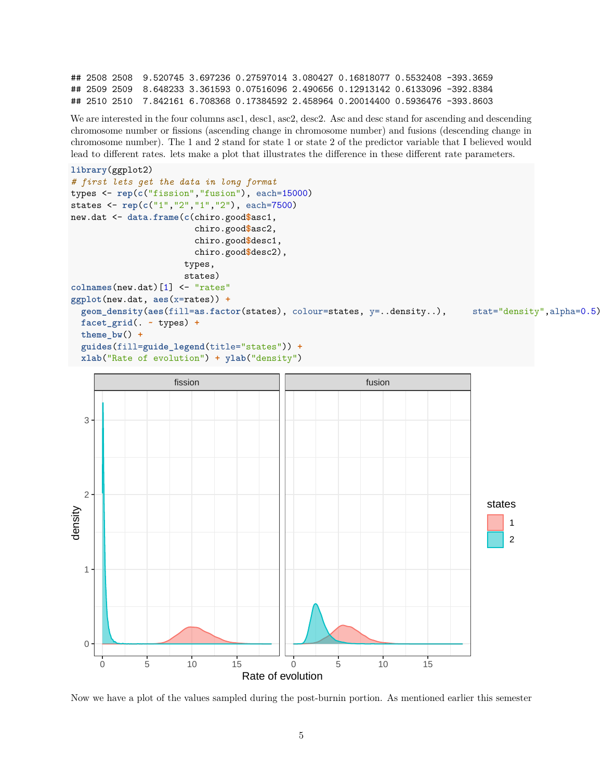## 2508 2508 9.520745 3.697236 0.27597014 3.080427 0.16818077 0.5532408 -393.3659 ## 2509 2509 8.648233 3.361593 0.07516096 2.490656 0.12913142 0.6133096 -392.8384 ## 2510 2510 7.842161 6.708368 0.17384592 2.458964 0.20014400 0.5936476 -393.8603

We are interested in the four columns asc1, desc1, asc2, desc2. Asc and desc stand for ascending and descending chromosome number or fissions (ascending change in chromosome number) and fusions (descending change in chromosome number). The 1 and 2 stand for state 1 or state 2 of the predictor variable that I believed would lead to different rates. lets make a plot that illustrates the difference in these different rate parameters.

```
library(ggplot2)
# first lets get the data in long format
types <- rep(c("fission","fusion"), each=15000)
states <- rep(c("1","2","1","2"), each=7500)
new.dat <- data.frame(c(chiro.good$asc1,
                        chiro.good$asc2,
                        chiro.good$desc1,
                        chiro.good$desc2),
                      types,
                      states)
colnames(new.dat)[1] <- "rates"
ggplot(new.dat, aes(x=rates)) +
  geom_density(aes(fill=as.factor(states), colour=states, y=..density..), stat="density",alpha=0.5) +
  facet_grid(. ~ types) +
  theme_bw() +
  guides(fill=guide_legend(title="states")) +
  xlab("Rate of evolution") + ylab("density")
```


Now we have a plot of the values sampled during the post-burnin portion. As mentioned earlier this semester